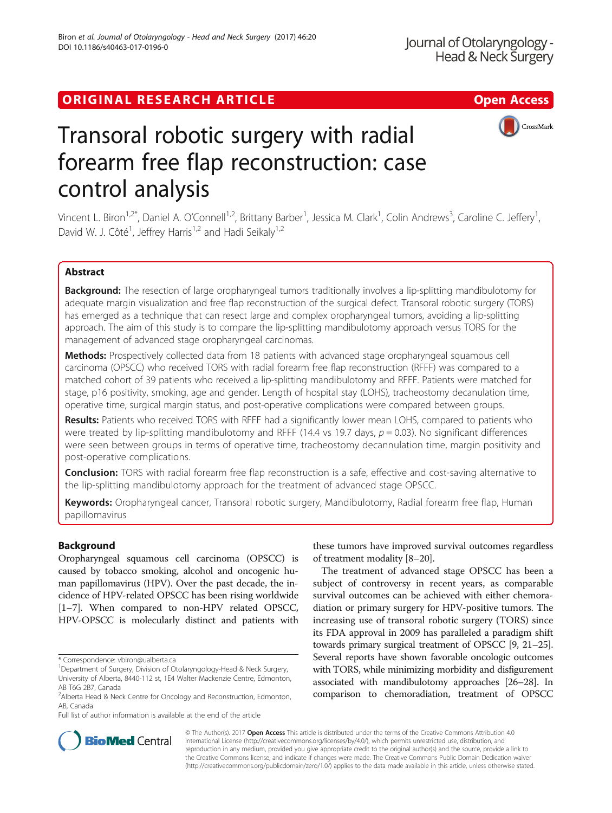## ORIGINAL RESEARCH ARTICLE **External of the Contract Contract Contract Contract Contract Contract Contract Contract Contract Contract Contract Contract Contract Contract Contract Contract Contract Contract Contract Contract**



# Transoral robotic surgery with radial forearm free flap reconstruction: case control analysis

Vincent L. Biron<sup>1,2\*</sup>, Daniel A. O'Connell<sup>1,2</sup>, Brittany Barber<sup>1</sup>, Jessica M. Clark<sup>1</sup>, Colin Andrews<sup>3</sup>, Caroline C. Jeffery<sup>1</sup> , David W. J. Côté<sup>1</sup>, Jeffrey Harris<sup>1,2</sup> and Hadi Seikaly<sup>1,2</sup>

## Abstract

**Background:** The resection of large oropharyngeal tumors traditionally involves a lip-splitting mandibulotomy for adequate margin visualization and free flap reconstruction of the surgical defect. Transoral robotic surgery (TORS) has emerged as a technique that can resect large and complex oropharyngeal tumors, avoiding a lip-splitting approach. The aim of this study is to compare the lip-splitting mandibulotomy approach versus TORS for the management of advanced stage oropharyngeal carcinomas.

Methods: Prospectively collected data from 18 patients with advanced stage oropharyngeal squamous cell carcinoma (OPSCC) who received TORS with radial forearm free flap reconstruction (RFFF) was compared to a matched cohort of 39 patients who received a lip-splitting mandibulotomy and RFFF. Patients were matched for stage, p16 positivity, smoking, age and gender. Length of hospital stay (LOHS), tracheostomy decanulation time, operative time, surgical margin status, and post-operative complications were compared between groups.

Results: Patients who received TORS with RFFF had a significantly lower mean LOHS, compared to patients who were treated by lip-splitting mandibulotomy and RFFF (14.4 vs 19.7 days,  $p = 0.03$ ). No significant differences were seen between groups in terms of operative time, tracheostomy decannulation time, margin positivity and post-operative complications.

**Conclusion:** TORS with radial forearm free flap reconstruction is a safe, effective and cost-saving alternative to the lip-splitting mandibulotomy approach for the treatment of advanced stage OPSCC.

Keywords: Oropharyngeal cancer, Transoral robotic surgery, Mandibulotomy, Radial forearm free flap, Human papillomavirus

## Background

Oropharyngeal squamous cell carcinoma (OPSCC) is caused by tobacco smoking, alcohol and oncogenic human papillomavirus (HPV). Over the past decade, the incidence of HPV-related OPSCC has been rising worldwide [[1](#page-5-0)–[7](#page-5-0)]. When compared to non-HPV related OPSCC, HPV-OPSCC is molecularly distinct and patients with

Full list of author information is available at the end of the article

these tumors have improved survival outcomes regardless of treatment modality [[8](#page-5-0)–[20\]](#page-5-0).

The treatment of advanced stage OPSCC has been a subject of controversy in recent years, as comparable survival outcomes can be achieved with either chemoradiation or primary surgery for HPV-positive tumors. The increasing use of transoral robotic surgery (TORS) since its FDA approval in 2009 has paralleled a paradigm shift towards primary surgical treatment of OPSCC [\[9](#page-5-0), [21](#page-5-0)–[25](#page-5-0)]. Several reports have shown favorable oncologic outcomes with TORS, while minimizing morbidity and disfigurement associated with mandibulotomy approaches [[26](#page-5-0)–[28](#page-5-0)]. In comparison to chemoradiation, treatment of OPSCC



© The Author(s). 2017 **Open Access** This article is distributed under the terms of the Creative Commons Attribution 4.0 International License [\(http://creativecommons.org/licenses/by/4.0/](http://creativecommons.org/licenses/by/4.0/)), which permits unrestricted use, distribution, and reproduction in any medium, provided you give appropriate credit to the original author(s) and the source, provide a link to the Creative Commons license, and indicate if changes were made. The Creative Commons Public Domain Dedication waiver [\(http://creativecommons.org/publicdomain/zero/1.0/](http://creativecommons.org/publicdomain/zero/1.0/)) applies to the data made available in this article, unless otherwise stated.

<sup>\*</sup> Correspondence: [vbiron@ualberta.ca](mailto:vbiron@ualberta.ca) <sup>1</sup>

<sup>&</sup>lt;sup>1</sup>Department of Surgery, Division of Otolaryngology-Head & Neck Surgery, University of Alberta, 8440-112 st, 1E4 Walter Mackenzie Centre, Edmonton, AB T6G 2B7, Canada

<sup>&</sup>lt;sup>2</sup> Alberta Head & Neck Centre for Oncology and Reconstruction, Edmonton, AB, Canada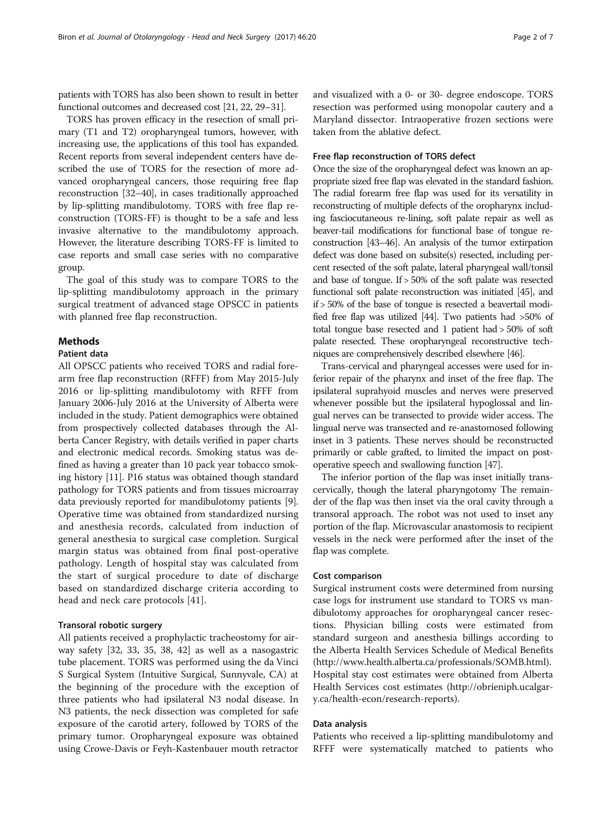patients with TORS has also been shown to result in better functional outcomes and decreased cost [\[21, 22,](#page-5-0) [29](#page-6-0)–[31](#page-6-0)].

TORS has proven efficacy in the resection of small primary (T1 and T2) oropharyngeal tumors, however, with increasing use, the applications of this tool has expanded. Recent reports from several independent centers have described the use of TORS for the resection of more advanced oropharyngeal cancers, those requiring free flap reconstruction [\[32](#page-6-0)–[40](#page-6-0)], in cases traditionally approached by lip-splitting mandibulotomy. TORS with free flap reconstruction (TORS-FF) is thought to be a safe and less invasive alternative to the mandibulotomy approach. However, the literature describing TORS-FF is limited to case reports and small case series with no comparative group.

The goal of this study was to compare TORS to the lip-splitting mandibulotomy approach in the primary surgical treatment of advanced stage OPSCC in patients with planned free flap reconstruction.

## Methods

## Patient data

All OPSCC patients who received TORS and radial forearm free flap reconstruction (RFFF) from May 2015-July 2016 or lip-splitting mandibulotomy with RFFF from January 2006-July 2016 at the University of Alberta were included in the study. Patient demographics were obtained from prospectively collected databases through the Alberta Cancer Registry, with details verified in paper charts and electronic medical records. Smoking status was defined as having a greater than 10 pack year tobacco smoking history [[11\]](#page-5-0). P16 status was obtained though standard pathology for TORS patients and from tissues microarray data previously reported for mandibulotomy patients [[9](#page-5-0)]. Operative time was obtained from standardized nursing and anesthesia records, calculated from induction of general anesthesia to surgical case completion. Surgical margin status was obtained from final post-operative pathology. Length of hospital stay was calculated from the start of surgical procedure to date of discharge based on standardized discharge criteria according to head and neck care protocols [\[41](#page-6-0)].

### Transoral robotic surgery

All patients received a prophylactic tracheostomy for airway safety [\[32](#page-6-0), [33](#page-6-0), [35, 38](#page-6-0), [42](#page-6-0)] as well as a nasogastric tube placement. TORS was performed using the da Vinci S Surgical System (Intuitive Surgical, Sunnyvale, CA) at the beginning of the procedure with the exception of three patients who had ipsilateral N3 nodal disease. In N3 patients, the neck dissection was completed for safe exposure of the carotid artery, followed by TORS of the primary tumor. Oropharyngeal exposure was obtained using Crowe-Davis or Feyh-Kastenbauer mouth retractor and visualized with a 0- or 30- degree endoscope. TORS resection was performed using monopolar cautery and a Maryland dissector. Intraoperative frozen sections were taken from the ablative defect.

## Free flap reconstruction of TORS defect

Once the size of the oropharyngeal defect was known an appropriate sized free flap was elevated in the standard fashion. The radial forearm free flap was used for its versatility in reconstructing of multiple defects of the oropharynx including fasciocutaneous re-lining, soft palate repair as well as beaver-tail modifications for functional base of tongue reconstruction [\[43](#page-6-0)–[46](#page-6-0)]. An analysis of the tumor extirpation defect was done based on subsite(s) resected, including percent resected of the soft palate, lateral pharyngeal wall/tonsil and base of tongue. If > 50% of the soft palate was resected functional soft palate reconstruction was initiated [\[45\]](#page-6-0), and if > 50% of the base of tongue is resected a beavertail modified free flap was utilized [\[44](#page-6-0)]. Two patients had >50% of total tongue base resected and 1 patient had > 50% of soft palate resected. These oropharyngeal reconstructive techniques are comprehensively described elsewhere [\[46\]](#page-6-0).

Trans-cervical and pharyngeal accesses were used for inferior repair of the pharynx and inset of the free flap. The ipsilateral suprahyoid muscles and nerves were preserved whenever possible but the ipsilateral hypoglossal and lingual nerves can be transected to provide wider access. The lingual nerve was transected and re-anastomosed following inset in 3 patients. These nerves should be reconstructed primarily or cable grafted, to limited the impact on postoperative speech and swallowing function [[47](#page-6-0)].

The inferior portion of the flap was inset initially transcervically, though the lateral pharyngotomy The remainder of the flap was then inset via the oral cavity through a transoral approach. The robot was not used to inset any portion of the flap. Microvascular anastomosis to recipient vessels in the neck were performed after the inset of the flap was complete.

## Cost comparison

Surgical instrument costs were determined from nursing case logs for instrument use standard to TORS vs mandibulotomy approaches for oropharyngeal cancer resections. Physician billing costs were estimated from standard surgeon and anesthesia billings according to the Alberta Health Services Schedule of Medical Benefits ([http://www.health.alberta.ca/professionals/SOMB.html\)](http://www.health.alberta.ca/professionals/SOMB.html). Hospital stay cost estimates were obtained from Alberta Health Services cost estimates [\(http://obrieniph.ucalgar](http://obrieniph.ucalgary.ca/health-econ/research-reports)[y.ca/health-econ/research-reports](http://obrieniph.ucalgary.ca/health-econ/research-reports)).

## Data analysis

Patients who received a lip-splitting mandibulotomy and RFFF were systematically matched to patients who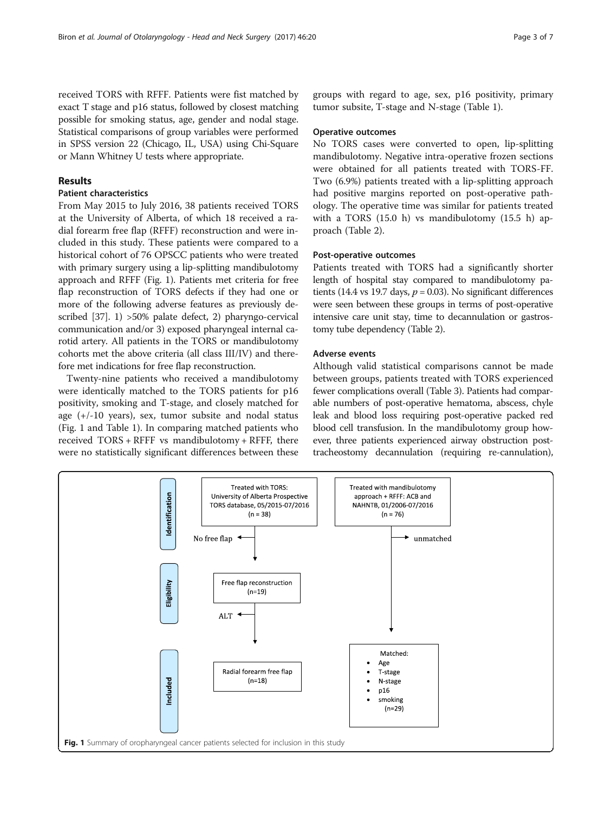received TORS with RFFF. Patients were fist matched by exact T stage and p16 status, followed by closest matching possible for smoking status, age, gender and nodal stage. Statistical comparisons of group variables were performed in SPSS version 22 (Chicago, IL, USA) using Chi-Square or Mann Whitney U tests where appropriate.

## Results

## Patient characteristics

From May 2015 to July 2016, 38 patients received TORS at the University of Alberta, of which 18 received a radial forearm free flap (RFFF) reconstruction and were included in this study. These patients were compared to a historical cohort of 76 OPSCC patients who were treated with primary surgery using a lip-splitting mandibulotomy approach and RFFF (Fig. 1). Patients met criteria for free flap reconstruction of TORS defects if they had one or more of the following adverse features as previously described [\[37](#page-6-0)]. 1) >50% palate defect, 2) pharyngo-cervical communication and/or 3) exposed pharyngeal internal carotid artery. All patients in the TORS or mandibulotomy cohorts met the above criteria (all class III/IV) and therefore met indications for free flap reconstruction.

Twenty-nine patients who received a mandibulotomy were identically matched to the TORS patients for p16 positivity, smoking and T-stage, and closely matched for age (+/-10 years), sex, tumor subsite and nodal status (Fig. 1 and Table [1](#page-3-0)). In comparing matched patients who received TORS + RFFF vs mandibulotomy + RFFF, there were no statistically significant differences between these groups with regard to age, sex, p16 positivity, primary tumor subsite, T-stage and N-stage (Table [1](#page-3-0)).

#### Operative outcomes

No TORS cases were converted to open, lip-splitting mandibulotomy. Negative intra-operative frozen sections were obtained for all patients treated with TORS-FF. Two (6.9%) patients treated with a lip-splitting approach had positive margins reported on post-operative pathology. The operative time was similar for patients treated with a TORS (15.0 h) vs mandibulotomy (15.5 h) approach (Table [2\)](#page-3-0).

## Post-operative outcomes

Patients treated with TORS had a significantly shorter length of hospital stay compared to mandibulotomy patients (14.4 vs 19.7 days,  $p = 0.03$ ). No significant differences were seen between these groups in terms of post-operative intensive care unit stay, time to decannulation or gastrostomy tube dependency (Table [2](#page-3-0)).

## Adverse events

Although valid statistical comparisons cannot be made between groups, patients treated with TORS experienced fewer complications overall (Table [3\)](#page-3-0). Patients had comparable numbers of post-operative hematoma, abscess, chyle leak and blood loss requiring post-operative packed red blood cell transfusion. In the mandibulotomy group however, three patients experienced airway obstruction posttracheostomy decannulation (requiring re-cannulation),

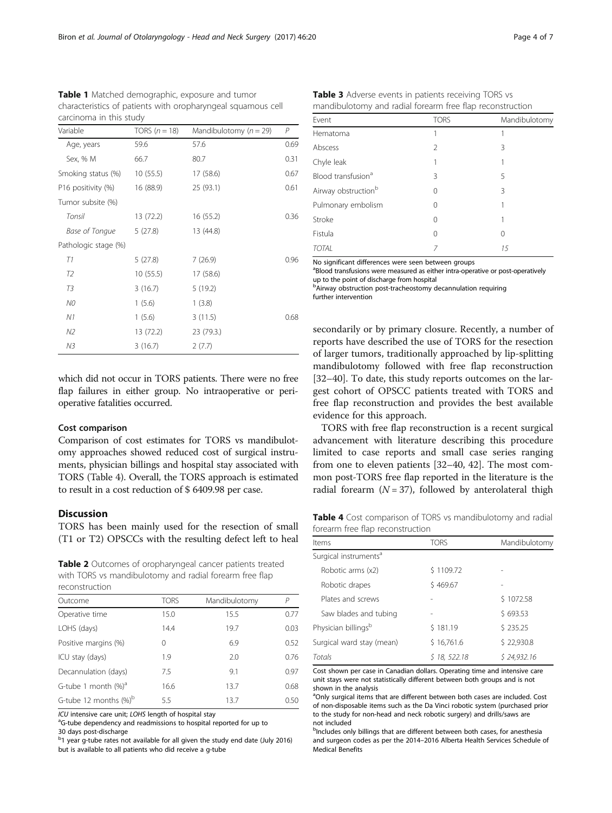which did not occur in TORS patients. There were no free flap failures in either group. No intraoperative or perioperative fatalities occurred.

## Cost comparison

Age, years

Tumor subsite (%)

Pathologic stage (%)

Comparison of cost estimates for TORS vs mandibulotomy approaches showed reduced cost of surgical instruments, physician billings and hospital stay associated with TORS (Table 4). Overall, the TORS approach is estimated to result in a cost reduction of \$ 6409.98 per case.

## **Discussion**

TORS has been mainly used for the resection of small (T1 or T2) OPSCCs with the resulting defect left to heal

Table 2 Outcomes of oropharyngeal cancer patients treated with TORS vs mandibulotomy and radial forearm free flap reconstruction

| .                                 |             |               |      |  |  |
|-----------------------------------|-------------|---------------|------|--|--|
| Outcome                           | <b>TORS</b> | Mandibulotomy | P    |  |  |
| Operative time                    | 15.0        | 15.5          | 0.77 |  |  |
| LOHS (days)                       | 14.4        | 19.7          | 0.03 |  |  |
| Positive margins (%)              | 0           | 6.9           | 0.52 |  |  |
| ICU stay (days)                   | 1.9         | 2.0           | 0.76 |  |  |
| Decannulation (days)              | 7.5         | 9.1           | 0.97 |  |  |
| G-tube 1 month $(\%)^a$           | 16.6        | 13.7          | 0.68 |  |  |
| G-tube 12 months $%$ <sup>b</sup> | 5.5         | 13.7          | 0.50 |  |  |

ICU intensive care unit; LOHS length of hospital stay

<sup>a</sup>G-tube dependency and readmissions to hospital reported for up to

30 days post-discharge

<sup>b</sup>1 year g-tube rates not available for all given the study end date (July 2016) but is available to all patients who did receive a g-tube

secondarily or by primary closure. Recently, a number of reports have described the use of TORS for the resection of larger tumors, traditionally approached by lip-splitting mandibulotomy followed with free flap reconstruction [[32](#page-6-0)–[40](#page-6-0)]. To date, this study reports outcomes on the largest cohort of OPSCC patients treated with TORS and free flap reconstruction and provides the best available evidence for this approach.

TORS with free flap reconstruction is a recent surgical advancement with literature describing this procedure limited to case reports and small case series ranging from one to eleven patients [\[32](#page-6-0)–[40, 42\]](#page-6-0). The most common post-TORS free flap reported in the literature is the radial forearm  $(N = 37)$ , followed by anterolateral thigh

Table 4 Cost comparison of TORS vs mandibulotomy and radial forearm free flap reconstruction

| Items                                                                      | <b>TORS</b> | Mandibulotomy |
|----------------------------------------------------------------------------|-------------|---------------|
| Surgical instruments <sup>a</sup>                                          |             |               |
| Robotic arms (x2)                                                          | \$1109.72   |               |
| Robotic drapes                                                             | \$469.67    |               |
| Plates and screws                                                          |             | \$1072.58     |
| Saw blades and tubing                                                      |             | \$693.53      |
| Physician billings <sup>b</sup>                                            | \$181.19    | \$235.25      |
| Surgical ward stay (mean)                                                  | \$16,761.6  | \$22,930.8    |
| <b>Totals</b>                                                              | \$18,522.18 | \$24,932.16   |
| Cost shown per case in Canadian dollars. Operating time and intensive care |             |               |

unit stays were not statistically different between both groups and is not shown in the analysis

<sup>a</sup>Only surgical items that are different between both cases are included. Cost of non-disposable items such as the Da Vinci robotic system (purchased prior to the study for non-head and neck robotic surgery) and drills/saws are not included

bIncludes only billings that are different between both cases, for anesthesia and surgeon codes as per the 2014–2016 Alberta Health Services Schedule of Medical Benefits

<span id="page-3-0"></span>Table 1 Matched demographic, exposure and tumor characteristics of patients with oropharyngeal squamous cell carcinoma in this study

Variable TORS ( $n = 18$ ) Mandibulotomy ( $n = 29$ ) P<br>Age years 596 576 576 069

Sex, % M 66.7 80.7 0.31 Smoking status (%) 10 (55.5) 17 (58.6) 0.67 P16 positivity (%) 16 (88.9) 25 (93.1) 0.61

Tonsil 13 (72.2) 16 (55.2) 0.36

T1 5 (27.8) 7 (26.9) 0.96

N1 1 (5.6) 3 (11.5) 0.68

Base of Tongue 5 (27.8) 13 (44.8)

T2 10 (55.5) 17 (58.6) T3 3 (16.7) 5 (19.2) NO 1 (5.6) 1 (3.8)

N2 13 (72.2) 23 (79.3.) N3 3 (16.7) 2 (7.7)

| ╯                               |               |               |
|---------------------------------|---------------|---------------|
| Event                           | <b>TORS</b>   | Mandibulotomy |
| Hematoma                        | 1             |               |
| Abscess                         | $\mathcal{P}$ | 3             |
| Chyle leak                      | 1             |               |
| Blood transfusion <sup>a</sup>  | 3             | 5             |
| Airway obstruction <sup>b</sup> | 0             | 3             |
| Pulmonary embolism              | 0             |               |
| Stroke                          | 0             |               |
| Fistula                         | 0             | 0             |
| TOTAL                           | 7             | 15            |

Table 3 Adverse events in patients receiving TORS vs mandibulotomy and radial forearm free flap reconstruction

TOTAL 7 15<br>No significant differences were seen between groups

<sup>a</sup>Blood transfusions were measured as either intra-operative or post-operatively up to the point of discharge from hospital

**b**Airway obstruction post-tracheostomy decannulation requiring further intervention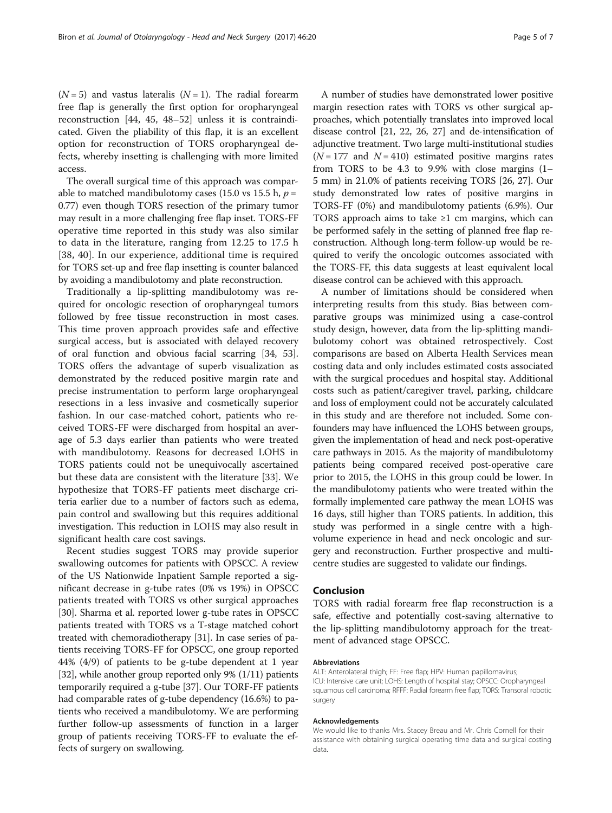$(N = 5)$  and vastus lateralis  $(N = 1)$ . The radial forearm free flap is generally the first option for oropharyngeal reconstruction [[44](#page-6-0), [45](#page-6-0), [48](#page-6-0)–[52](#page-6-0)] unless it is contraindicated. Given the pliability of this flap, it is an excellent option for reconstruction of TORS oropharyngeal defects, whereby insetting is challenging with more limited access.

The overall surgical time of this approach was comparable to matched mandibulotomy cases (15.0 vs 15.5 h,  $p =$ 0.77) even though TORS resection of the primary tumor may result in a more challenging free flap inset. TORS-FF operative time reported in this study was also similar to data in the literature, ranging from 12.25 to 17.5 h [[38](#page-6-0), [40](#page-6-0)]. In our experience, additional time is required for TORS set-up and free flap insetting is counter balanced by avoiding a mandibulotomy and plate reconstruction.

Traditionally a lip-splitting mandibulotomy was required for oncologic resection of oropharyngeal tumors followed by free tissue reconstruction in most cases. This time proven approach provides safe and effective surgical access, but is associated with delayed recovery of oral function and obvious facial scarring [[34, 53](#page-6-0)]. TORS offers the advantage of superb visualization as demonstrated by the reduced positive margin rate and precise instrumentation to perform large oropharyngeal resections in a less invasive and cosmetically superior fashion. In our case-matched cohort, patients who received TORS-FF were discharged from hospital an average of 5.3 days earlier than patients who were treated with mandibulotomy. Reasons for decreased LOHS in TORS patients could not be unequivocally ascertained but these data are consistent with the literature [\[33\]](#page-6-0). We hypothesize that TORS-FF patients meet discharge criteria earlier due to a number of factors such as edema, pain control and swallowing but this requires additional investigation. This reduction in LOHS may also result in significant health care cost savings.

Recent studies suggest TORS may provide superior swallowing outcomes for patients with OPSCC. A review of the US Nationwide Inpatient Sample reported a significant decrease in g-tube rates (0% vs 19%) in OPSCC patients treated with TORS vs other surgical approaches [[30](#page-6-0)]. Sharma et al. reported lower g-tube rates in OPSCC patients treated with TORS vs a T-stage matched cohort treated with chemoradiotherapy [[31\]](#page-6-0). In case series of patients receiving TORS-FF for OPSCC, one group reported 44% (4/9) of patients to be g-tube dependent at 1 year [[32](#page-6-0)], while another group reported only 9% (1/11) patients temporarily required a g-tube [\[37\]](#page-6-0). Our TORF-FF patients had comparable rates of g-tube dependency (16.6%) to patients who received a mandibulotomy. We are performing further follow-up assessments of function in a larger group of patients receiving TORS-FF to evaluate the effects of surgery on swallowing.

A number of studies have demonstrated lower positive margin resection rates with TORS vs other surgical approaches, which potentially translates into improved local disease control [\[21, 22, 26, 27\]](#page-5-0) and de-intensification of adjunctive treatment. Two large multi-institutional studies  $(N = 177$  and  $N = 410$ ) estimated positive margins rates from TORS to be 4.3 to 9.9% with close margins (1– 5 mm) in 21.0% of patients receiving TORS [\[26, 27\]](#page-5-0). Our study demonstrated low rates of positive margins in TORS-FF (0%) and mandibulotomy patients (6.9%). Our TORS approach aims to take  $\geq 1$  cm margins, which can be performed safely in the setting of planned free flap reconstruction. Although long-term follow-up would be required to verify the oncologic outcomes associated with the TORS-FF, this data suggests at least equivalent local disease control can be achieved with this approach.

A number of limitations should be considered when interpreting results from this study. Bias between comparative groups was minimized using a case-control study design, however, data from the lip-splitting mandibulotomy cohort was obtained retrospectively. Cost comparisons are based on Alberta Health Services mean costing data and only includes estimated costs associated with the surgical procedues and hospital stay. Additional costs such as patient/caregiver travel, parking, childcare and loss of employment could not be accurately calculated in this study and are therefore not included. Some confounders may have influenced the LOHS between groups, given the implementation of head and neck post-operative care pathways in 2015. As the majority of mandibulotomy patients being compared received post-operative care prior to 2015, the LOHS in this group could be lower. In the mandibulotomy patients who were treated within the formally implemented care pathway the mean LOHS was 16 days, still higher than TORS patients. In addition, this study was performed in a single centre with a highvolume experience in head and neck oncologic and surgery and reconstruction. Further prospective and multicentre studies are suggested to validate our findings.

## Conclusion

TORS with radial forearm free flap reconstruction is a safe, effective and potentially cost-saving alternative to the lip-splitting mandibulotomy approach for the treatment of advanced stage OPSCC.

### Abbreviations

ALT: Anterolateral thigh; FF: Free flap; HPV: Human papillomavirus; ICU: Intensive care unit; LOHS: Length of hospital stay; OPSCC: Oropharyngeal squamous cell carcinoma; RFFF: Radial forearm free flap; TORS: Transoral robotic surgery

#### Acknowledgements

We would like to thanks Mrs. Stacey Breau and Mr. Chris Cornell for their assistance with obtaining surgical operating time data and surgical costing data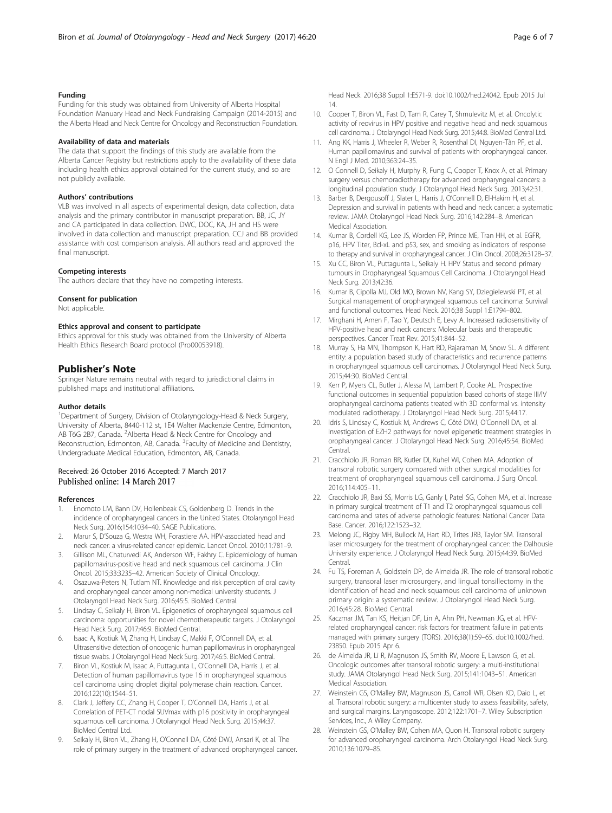## <span id="page-5-0"></span>Funding

Funding for this study was obtained from University of Alberta Hospital Foundation Manuary Head and Neck Fundraising Campaign (2014-2015) and the Alberta Head and Neck Centre for Oncology and Reconstruction Foundation.

## Availability of data and materials

The data that support the findings of this study are available from the Alberta Cancer Registry but restrictions apply to the availability of these data including health ethics approval obtained for the current study, and so are not publicly available.

#### Authors' contributions

VLB was involved in all aspects of experimental design, data collection, data analysis and the primary contributor in manuscript preparation. BB, JC, JY and CA participated in data collection. DWC, DOC, KA, JH and HS were involved in data collection and manuscript preparation. CCJ and BB provided assistance with cost comparison analysis. All authors read and approved the final manuscript.

#### Competing interests

The authors declare that they have no competing interests.

#### Consent for publication

Not applicable.

#### Ethics approval and consent to participate

Ethics approval for this study was obtained from the University of Alberta Health Ethics Research Board protocol (Pro00053918).

## Publisher's Note

Springer Nature remains neutral with regard to jurisdictional claims in published maps and institutional affiliations.

#### Author details

<sup>1</sup>Department of Surgery, Division of Otolaryngology-Head & Neck Surgery, University of Alberta, 8440-112 st, 1E4 Walter Mackenzie Centre, Edmonton, AB T6G 2B7, Canada. <sup>2</sup> Alberta Head & Neck Centre for Oncology and Reconstruction, Edmonton, AB, Canada. <sup>3</sup>Faculty of Medicine and Dentistry, Undergraduate Medical Education, Edmonton, AB, Canada.

## Received: 26 October 2016 Accepted: 7 March 2017 Published online: 14 March 2017

#### References

- 1. Enomoto LM, Bann DV, Hollenbeak CS, Goldenberg D. Trends in the incidence of oropharyngeal cancers in the United States. Otolaryngol Head Neck Surg. 2016;154:1034–40. SAGE Publications.
- 2. Marur S, D'Souza G, Westra WH, Forastiere AA. HPV-associated head and neck cancer: a virus-related cancer epidemic. Lancet Oncol. 2010;11:781–9.
- 3. Gillison ML, Chaturvedi AK, Anderson WF, Fakhry C. Epidemiology of human papillomavirus-positive head and neck squamous cell carcinoma. J Clin Oncol. 2015;33:3235–42. American Society of Clinical Oncology.
- Osazuwa-Peters N, Tutlam NT. Knowledge and risk perception of oral cavity and oropharyngeal cancer among non-medical university students. J Otolaryngol Head Neck Surg. 2016;45:5. BioMed Central.
- 5. Lindsay C, Seikaly H, Biron VL. Epigenetics of oropharyngeal squamous cell carcinoma: opportunities for novel chemotherapeutic targets. J Otolaryngol Head Neck Surg. 2017;46:9. BioMed Central.
- Isaac A, Kostiuk M, Zhang H, Lindsay C, Makki F, O'Connell DA, et al. Ultrasensitive detection of oncogenic human papillomavirus in oropharyngeal tissue swabs. J Otolaryngol Head Neck Surg. 2017;46:5. BioMed Central.
- Biron VL, Kostiuk M, Isaac A, Puttagunta L, O'Connell DA, Harris J, et al. Detection of human papillomavirus type 16 in oropharyngeal squamous cell carcinoma using droplet digital polymerase chain reaction. Cancer. 2016;122(10):1544–51.
- Clark J, Jeffery CC, Zhang H, Cooper T, O'Connell DA, Harris J, et al. Correlation of PET-CT nodal SUVmax with p16 positivity in oropharyngeal squamous cell carcinoma. J Otolaryngol Head Neck Surg. 2015;44:37. BioMed Central Ltd.
- Seikaly H, Biron VL, Zhang H, O'Connell DA, Côté DWJ, Ansari K, et al. The role of primary surgery in the treatment of advanced oropharyngeal cancer.

Head Neck. 2016;38 Suppl 1:E571-9. doi[:10.1002/hed.24042. Epub 2015 Jul](http://dx.doi.org/10.1002/hed.24042. Epub 2015 Jul 14) [14.](http://dx.doi.org/10.1002/hed.24042. Epub 2015 Jul 14)

- 10. Cooper T, Biron VL, Fast D, Tam R, Carey T, Shmulevitz M, et al. Oncolytic activity of reovirus in HPV positive and negative head and neck squamous cell carcinoma. J Otolaryngol Head Neck Surg. 2015;44:8. BioMed Central Ltd.
- 11. Ang KK, Harris J, Wheeler R, Weber R, Rosenthal DI, Nguyen-Tân PF, et al. Human papillomavirus and survival of patients with oropharyngeal cancer. N Engl J Med. 2010;363:24–35.
- 12. O Connell D, Seikaly H, Murphy R, Fung C, Cooper T, Knox A, et al. Primary surgery versus chemoradiotherapy for advanced oropharyngeal cancers: a longitudinal population study. J Otolaryngol Head Neck Surg. 2013;42:31.
- 13. Barber B, Dergousoff J, Slater L, Harris J, O'Connell D, El-Hakim H, et al. Depression and survival in patients with head and neck cancer: a systematic review. JAMA Otolaryngol Head Neck Surg. 2016;142:284–8. American Medical Association.
- 14. Kumar B, Cordell KG, Lee JS, Worden FP, Prince ME, Tran HH, et al. EGFR, p16, HPV Titer, Bcl-xL and p53, sex, and smoking as indicators of response to therapy and survival in oropharyngeal cancer. J Clin Oncol. 2008;26:3128–37.
- 15. Xu CC, Biron VL, Puttagunta L, Seikaly H. HPV Status and second primary tumours in Oropharyngeal Squamous Cell Carcinoma. J Otolaryngol Head Neck Surg. 2013;42:36.
- 16. Kumar B, Cipolla MJ, Old MO, Brown NV, Kang SY, Dziegielewski PT, et al. Surgical management of oropharyngeal squamous cell carcinoma: Survival and functional outcomes. Head Neck. 2016;38 Suppl 1:E1794–802.
- 17. Mirghani H, Amen F, Tao Y, Deutsch E, Levy A. Increased radiosensitivity of HPV-positive head and neck cancers: Molecular basis and therapeutic perspectives. Cancer Treat Rev. 2015;41:844–52.
- 18. Murray S, Ha MN, Thompson K, Hart RD, Rajaraman M, Snow SL. A different entity: a population based study of characteristics and recurrence patterns in oropharyngeal squamous cell carcinomas. J Otolaryngol Head Neck Surg. 2015;44:30. BioMed Central.
- 19. Kerr P, Myers CL, Butler J, Alessa M, Lambert P, Cooke AL. Prospective functional outcomes in sequential population based cohorts of stage III/IV oropharyngeal carcinoma patients treated with 3D conformal vs. intensity modulated radiotherapy. J Otolaryngol Head Neck Surg. 2015;44:17.
- 20. Idris S, Lindsay C, Kostiuk M, Andrews C, Côté DWJ, O'Connell DA, et al. Investigation of EZH2 pathways for novel epigenetic treatment strategies in oropharyngeal cancer. J Otolaryngol Head Neck Surg. 2016;45:54. BioMed **Central**
- 21. Cracchiolo JR, Roman BR, Kutler DI, Kuhel WI, Cohen MA. Adoption of transoral robotic surgery compared with other surgical modalities for treatment of oropharyngeal squamous cell carcinoma. J Surg Oncol. 2016;114:405–11.
- 22. Cracchiolo JR, Baxi SS, Morris LG, Ganly I, Patel SG, Cohen MA, et al. Increase in primary surgical treatment of T1 and T2 oropharyngeal squamous cell carcinoma and rates of adverse pathologic features: National Cancer Data Base. Cancer. 2016;122:1523–32.
- 23. Melong JC, Rigby MH, Bullock M, Hart RD, Trites JRB, Taylor SM. Transoral laser microsurgery for the treatment of oropharyngeal cancer: the Dalhousie University experience. J Otolaryngol Head Neck Surg. 2015;44:39. BioMed Central.
- 24. Fu TS, Foreman A, Goldstein DP, de Almeida JR. The role of transoral robotic surgery, transoral laser microsurgery, and lingual tonsillectomy in the identification of head and neck squamous cell carcinoma of unknown primary origin: a systematic review. J Otolaryngol Head Neck Surg. 2016;45:28. BioMed Central.
- 25. Kaczmar JM, Tan KS, Heitjan DF, Lin A, Ahn PH, Newman JG, et al. HPVrelated oropharyngeal cancer: risk factors for treatment failure in patients managed with primary surgery (TORS). 2016;38(1):59–65. doi:[10.1002/hed.](http://dx.doi.org/10.1002/hed.23850) [23850.](http://dx.doi.org/10.1002/hed.23850) Epub 2015 Apr 6.
- 26. de Almeida JR, Li R, Magnuson JS, Smith RV, Moore E, Lawson G, et al. Oncologic outcomes after transoral robotic surgery: a multi-institutional study. JAMA Otolaryngol Head Neck Surg. 2015;141:1043–51. American Medical Association.
- 27. Weinstein GS, O'Malley BW, Magnuson JS, Carroll WR, Olsen KD, Daio L, et al. Transoral robotic surgery: a multicenter study to assess feasibility, safety, and surgical margins. Laryngoscope. 2012;122:1701–7. Wiley Subscription Services, Inc., A Wiley Company.
- 28. Weinstein GS, O'Malley BW, Cohen MA, Quon H. Transoral robotic surgery for advanced oropharyngeal carcinoma. Arch Otolaryngol Head Neck Surg. 2010;136:1079–85.